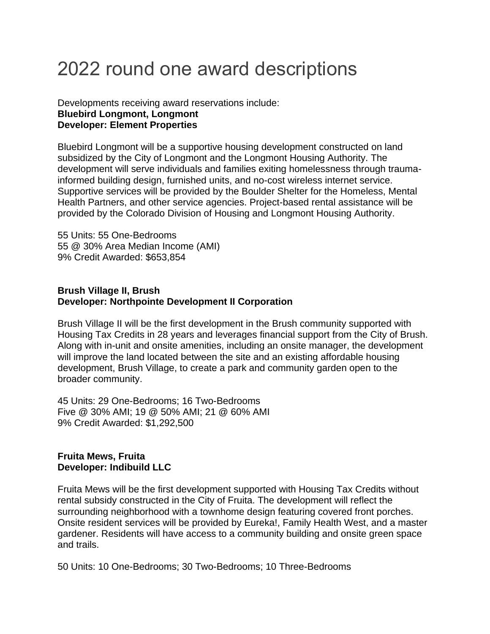# 2022 round one award descriptions

## Developments receiving award reservations include: **Bluebird Longmont, Longmont Developer: Element Properties**

Bluebird Longmont will be a supportive housing development constructed on land subsidized by the City of Longmont and the Longmont Housing Authority. The development will serve individuals and families exiting homelessness through traumainformed building design, furnished units, and no-cost wireless internet service. Supportive services will be provided by the Boulder Shelter for the Homeless, Mental Health Partners, and other service agencies. Project-based rental assistance will be provided by the Colorado Division of Housing and Longmont Housing Authority.

55 Units: 55 One-Bedrooms 55 @ 30% Area Median Income (AMI) 9% Credit Awarded: \$653,854

# **Brush Village II, Brush Developer: Northpointe Development II Corporation**

Brush Village II will be the first development in the Brush community supported with Housing Tax Credits in 28 years and leverages financial support from the City of Brush. Along with in-unit and onsite amenities, including an onsite manager, the development will improve the land located between the site and an existing affordable housing development, Brush Village, to create a park and community garden open to the broader community.

45 Units: 29 One-Bedrooms; 16 Two-Bedrooms Five @ 30% AMI; 19 @ 50% AMI; 21 @ 60% AMI 9% Credit Awarded: \$1,292,500

# **Fruita Mews, Fruita Developer: Indibuild LLC**

Fruita Mews will be the first development supported with Housing Tax Credits without rental subsidy constructed in the City of Fruita. The development will reflect the surrounding neighborhood with a townhome design featuring covered front porches. Onsite resident services will be provided by Eureka!, Family Health West, and a master gardener. Residents will have access to a community building and onsite green space and trails.

50 Units: 10 One-Bedrooms; 30 Two-Bedrooms; 10 Three-Bedrooms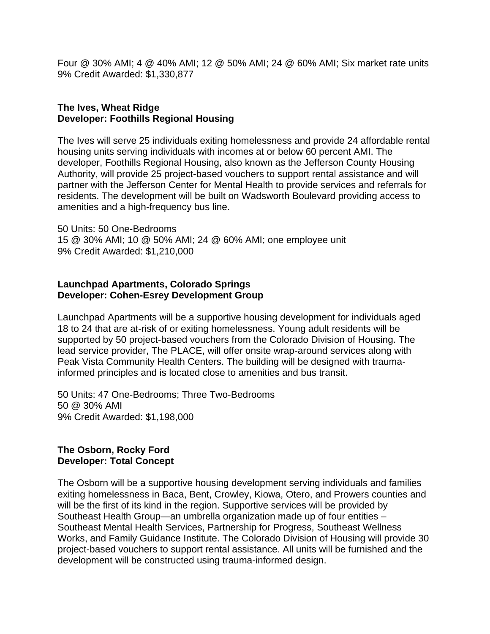Four @ 30% AMI; 4 @ 40% AMI; 12 @ 50% AMI; 24 @ 60% AMI; Six market rate units 9% Credit Awarded: \$1,330,877

# **The Ives, Wheat Ridge Developer: Foothills Regional Housing**

The Ives will serve 25 individuals exiting homelessness and provide 24 affordable rental housing units serving individuals with incomes at or below 60 percent AMI. The developer, Foothills Regional Housing, also known as the Jefferson County Housing Authority, will provide 25 project-based vouchers to support rental assistance and will partner with the Jefferson Center for Mental Health to provide services and referrals for residents. The development will be built on Wadsworth Boulevard providing access to amenities and a high-frequency bus line.

50 Units: 50 One-Bedrooms 15 @ 30% AMI; 10 @ 50% AMI; 24 @ 60% AMI; one employee unit 9% Credit Awarded: \$1,210,000

#### **Launchpad Apartments, Colorado Springs Developer: Cohen-Esrey Development Group**

Launchpad Apartments will be a supportive housing development for individuals aged 18 to 24 that are at-risk of or exiting homelessness. Young adult residents will be supported by 50 project-based vouchers from the Colorado Division of Housing. The lead service provider, The PLACE, will offer onsite wrap-around services along with Peak Vista Community Health Centers. The building will be designed with traumainformed principles and is located close to amenities and bus transit.

50 Units: 47 One-Bedrooms; Three Two-Bedrooms 50 @ 30% AMI 9% Credit Awarded: \$1,198,000

## **The Osborn, Rocky Ford Developer: Total Concept**

The Osborn will be a supportive housing development serving individuals and families exiting homelessness in Baca, Bent, Crowley, Kiowa, Otero, and Prowers counties and will be the first of its kind in the region. Supportive services will be provided by Southeast Health Group—an umbrella organization made up of four entities – Southeast Mental Health Services, Partnership for Progress, Southeast Wellness Works, and Family Guidance Institute. The Colorado Division of Housing will provide 30 project-based vouchers to support rental assistance. All units will be furnished and the development will be constructed using trauma-informed design.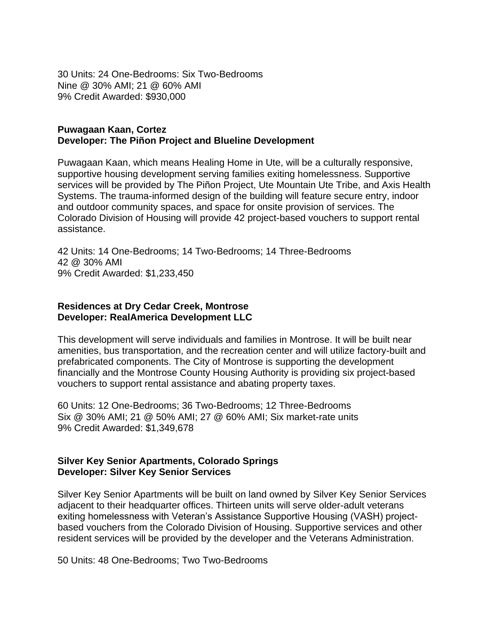30 Units: 24 One-Bedrooms: Six Two-Bedrooms Nine @ 30% AMI; 21 @ 60% AMI 9% Credit Awarded: \$930,000

#### **Puwagaan Kaan, Cortez Developer: The Piñon Project and Blueline Development**

Puwagaan Kaan, which means Healing Home in Ute, will be a culturally responsive, supportive housing development serving families exiting homelessness. Supportive services will be provided by The Piñon Project, Ute Mountain Ute Tribe, and Axis Health Systems. The trauma-informed design of the building will feature secure entry, indoor and outdoor community spaces, and space for onsite provision of services. The Colorado Division of Housing will provide 42 project-based vouchers to support rental assistance.

42 Units: 14 One-Bedrooms; 14 Two-Bedrooms; 14 Three-Bedrooms 42 @ 30% AMI 9% Credit Awarded: \$1,233,450

## **Residences at Dry Cedar Creek, Montrose Developer: RealAmerica Development LLC**

This development will serve individuals and families in Montrose. It will be built near amenities, bus transportation, and the recreation center and will utilize factory-built and prefabricated components. The City of Montrose is supporting the development financially and the Montrose County Housing Authority is providing six project-based vouchers to support rental assistance and abating property taxes.

60 Units: 12 One-Bedrooms; 36 Two-Bedrooms; 12 Three-Bedrooms Six @ 30% AMI; 21 @ 50% AMI; 27 @ 60% AMI; Six market-rate units 9% Credit Awarded: \$1,349,678

# **Silver Key Senior Apartments, Colorado Springs Developer: Silver Key Senior Services**

Silver Key Senior Apartments will be built on land owned by Silver Key Senior Services adjacent to their headquarter offices. Thirteen units will serve older-adult veterans exiting homelessness with Veteran's Assistance Supportive Housing (VASH) projectbased vouchers from the Colorado Division of Housing. Supportive services and other resident services will be provided by the developer and the Veterans Administration.

50 Units: 48 One-Bedrooms; Two Two-Bedrooms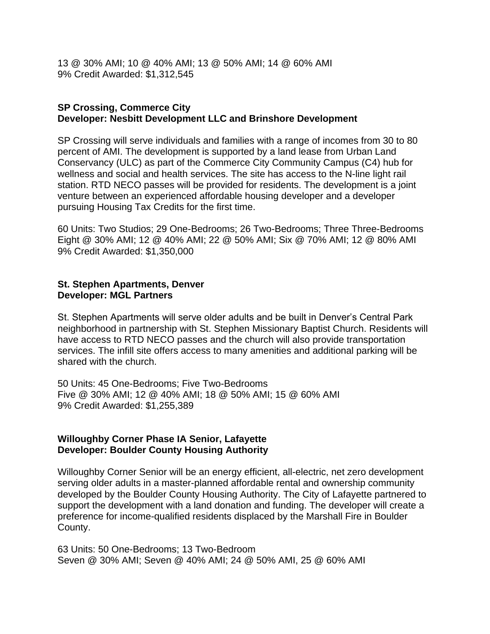13 @ 30% AMI; 10 @ 40% AMI; 13 @ 50% AMI; 14 @ 60% AMI 9% Credit Awarded: \$1,312,545

# **SP Crossing, Commerce City Developer: Nesbitt Development LLC and Brinshore Development**

SP Crossing will serve individuals and families with a range of incomes from 30 to 80 percent of AMI. The development is supported by a land lease from Urban Land Conservancy (ULC) as part of the Commerce City Community Campus (C4) hub for wellness and social and health services. The site has access to the N-line light rail station. RTD NECO passes will be provided for residents. The development is a joint venture between an experienced affordable housing developer and a developer pursuing Housing Tax Credits for the first time.

60 Units: Two Studios; 29 One-Bedrooms; 26 Two-Bedrooms; Three Three-Bedrooms Eight @ 30% AMI; 12 @ 40% AMI; 22 @ 50% AMI; Six @ 70% AMI; 12 @ 80% AMI 9% Credit Awarded: \$1,350,000

## **St. Stephen Apartments, Denver Developer: MGL Partners**

St. Stephen Apartments will serve older adults and be built in Denver's Central Park neighborhood in partnership with St. Stephen Missionary Baptist Church. Residents will have access to RTD NECO passes and the church will also provide transportation services. The infill site offers access to many amenities and additional parking will be shared with the church.

50 Units: 45 One-Bedrooms; Five Two-Bedrooms Five @ 30% AMI; 12 @ 40% AMI; 18 @ 50% AMI; 15 @ 60% AMI 9% Credit Awarded: \$1,255,389

## **Willoughby Corner Phase IA Senior, Lafayette Developer: Boulder County Housing Authority**

Willoughby Corner Senior will be an energy efficient, all-electric, net zero development serving older adults in a master-planned affordable rental and ownership community developed by the Boulder County Housing Authority. The City of Lafayette partnered to support the development with a land donation and funding. The developer will create a preference for income-qualified residents displaced by the Marshall Fire in Boulder County.

63 Units: 50 One-Bedrooms; 13 Two-Bedroom Seven @ 30% AMI; Seven @ 40% AMI; 24 @ 50% AMI, 25 @ 60% AMI